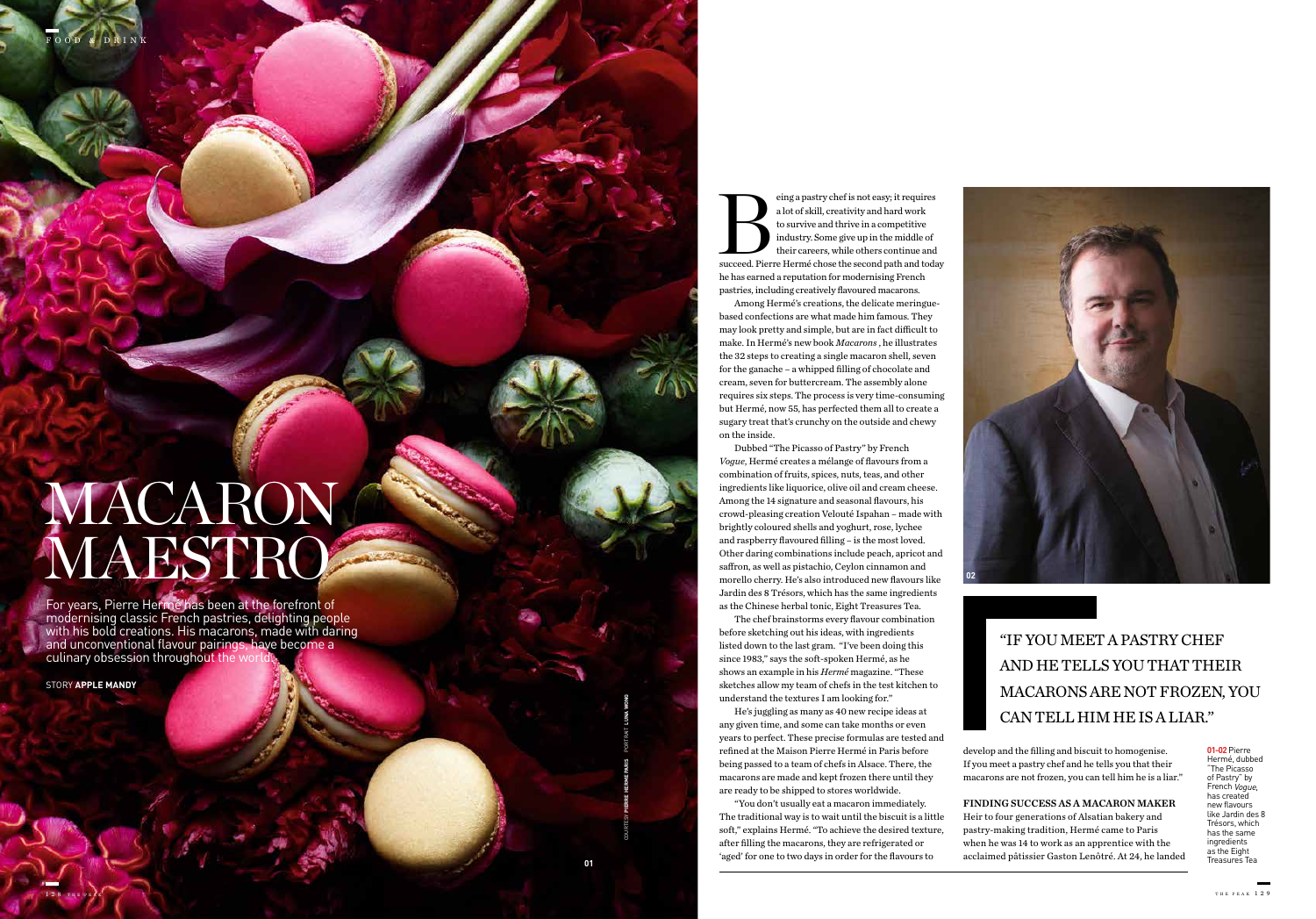STORY **APPLE MANDY** 

For years, Pierre Hermé has been at the forefront of modernising classic French pastries, delighting people with his bold creations. His macarons, made with daring and unconventional flavour pairings, have become a culinary obsession throughout the w

## MACARON MAESTRO

eing a pastry chef is not easy; it requires<br>
a lot of skill, creativity and hard work<br>
to survive and thrive in a competitive<br>
industry. Some give up in the middle of<br>
their careers, while others continue and<br>
succeed. Pie a lot of skill, creativity and hard work to survive and thrive in a competitive industry. Some give up in the middle of their careers, while others continue and he has earned a reputation for modernising French pastries, including creatively flavoured macarons.

Among Hermé's creations, the delicate meringuebased confections are what made him famous. They may look pretty and simple, but are in fact difficult to make. In Hermé's new book *Macarons* , he illustrates the 32 steps to creating a single macaron shell, seven for the ganache – a whipped filling of chocolate and cream, seven for buttercream. The assembly alone requires six steps. The process is very time-consuming but Hermé, now 55, has perfected them all to create a sugary treat that's crunchy on the outside and chewy on the inside.

Dubbed "The Picasso of Pastry" by French *Vogue*, Hermé creates a mélange of flavours from a combination of fruits, spices, nuts, teas, and other ingredients like liquorice, olive oil and cream cheese. Among the 14 signature and seasonal flavours, his crowd-pleasing creation Velouté Ispahan – made with brightly coloured shells and yoghurt, rose, lychee and raspberry flavoured filling – is the most loved. Other daring combinations include peach, apricot and saffron, as well as pistachio, Ceylon cinnamon and morello cherry. He's also introduced new flavours like Jardin des 8 Trésors, which has the same ingredients as the Chinese herbal tonic, Eight Treasures Tea.

The chef brainstorms every flavour combination before sketching out his ideas, with ingredients listed down to the last gram. "I've been doing this since 1983," says the soft-spoken Hermé, as he shows an example in his *Hermé* magazine. "These sketches allow my team of chefs in the test kitchen to understand the textures I am looking for."

He's juggling as many as 40 new recipe ideas at any given time, and some can take months or even years to perfect. These precise formulas are tested and refined at the Maison Pierre Hermé in Paris before being passed to a team of chefs in Alsace. There, the macarons are made and kept frozen there until they are ready to be shipped to stores worldwide.

"IF YOU MEET A PASTRY CHEF AND HE TELLS YOU THAT THEIR MACARONS ARE NOT FROZEN, YOU CAN TELL HIM HE IS A LIAR."

"You don't usually eat a macaron immediately. The traditional way is to wait until the biscuit is a little soft," explains Hermé. "To achieve the desired texture, after filling the macarons, they are refrigerated or 'aged' for one to two days in order for the flavours to acclaimed pâtissier Gaston Lenôtré. At 24, he landed **<sup>01</sup>**

develop and the filling and biscuit to homogenise. If you meet a pastry chef and he tells you that their macarons are not frozen, you can tell him he is a liar."

FINDING SUCCESS AS A MACARON MAKER Heir to four generations of Alsatian bakery and pastry-making tradition, Hermé came to Paris when he was 14 to work as an apprentice with the



**01-02** Pierre Hermé, dubbed "The Picasso of Pastry" by French Vogue, has created new flavours like Jardin des 8 Trésors, which has the same ingredients as the Eight Treasures Tea

COURTESY **PIERRE HERME PARIS** PORTRAIT **LUNA WONG**